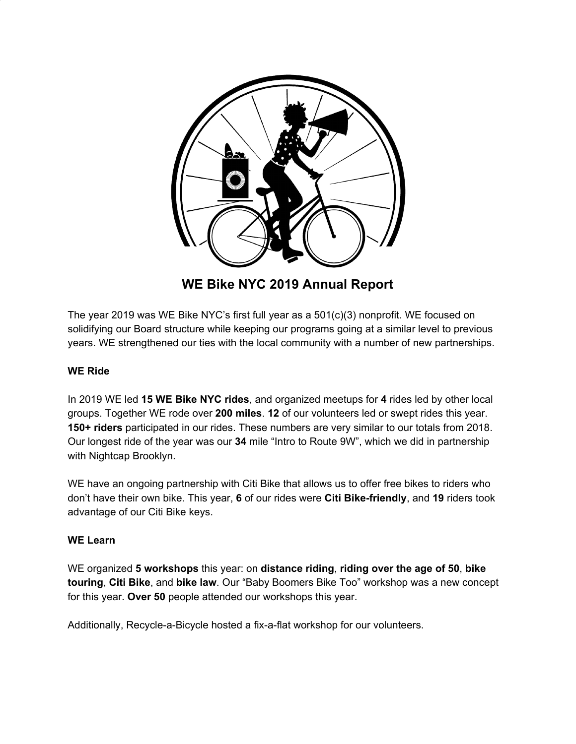

**WE Bike NYC 2019 Annual Report**

The year 2019 was WE Bike NYC's first full year as a 501(c)(3) nonprofit. WE focused on solidifying our Board structure while keeping our programs going at a similar level to previous years. WE strengthened our ties with the local community with a number of new partnerships.

# **WE Ride**

In 2019 WE led **15 WE Bike NYC rides**, and organized meetups for **4** rides led by other local groups. Together WE rode over **200 miles**. **12** of our volunteers led or swept rides this year. **150+ riders** participated in our rides. These numbers are very similar to our totals from 2018. Our longest ride of the year was our **34** mile "Intro to Route 9W", which we did in partnership with Nightcap Brooklyn.

WE have an ongoing partnership with Citi Bike that allows us to offer free bikes to riders who don't have their own bike. This year, **6** of our rides were **Citi Bike-friendly**, and **19** riders took advantage of our Citi Bike keys.

## **WE Learn**

WE organized **5 workshops** this year: on **distance riding**, **riding over the age of 50**, **bike touring**, **Citi Bike**, and **bike law**. Our "Baby Boomers Bike Too" workshop was a new concept for this year. **Over 50** people attended our workshops this year.

Additionally, Recycle-a-Bicycle hosted a fix-a-flat workshop for our volunteers.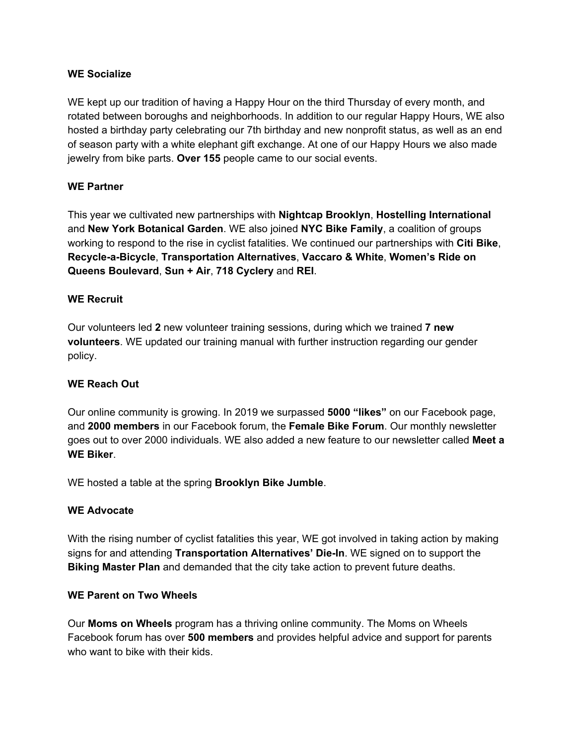### **WE Socialize**

WE kept up our tradition of having a Happy Hour on the third Thursday of every month, and rotated between boroughs and neighborhoods. In addition to our regular Happy Hours, WE also hosted a birthday party celebrating our 7th birthday and new nonprofit status, as well as an end of season party with a white elephant gift exchange. At one of our Happy Hours we also made jewelry from bike parts. **Over 155** people came to our social events.

## **WE Partner**

This year we cultivated new partnerships with **Nightcap Brooklyn**, **Hostelling International** and **New York Botanical Garden**. WE also joined **NYC Bike Family**, a coalition of groups working to respond to the rise in cyclist fatalities. We continued our partnerships with **Citi Bike**, **Recycle-a-Bicycle**, **Transportation Alternatives**, **Vaccaro & White**, **Women's Ride on Queens Boulevard**, **Sun + Air**, **718 Cyclery** and **REI**.

## **WE Recruit**

Our volunteers led **2** new volunteer training sessions, during which we trained **7 new volunteers**. WE updated our training manual with further instruction regarding our gender policy.

## **WE Reach Out**

Our online community is growing. In 2019 we surpassed **5000 "likes"** on our Facebook page, and **2000 members** in our Facebook forum, the **Female Bike Forum**. Our monthly newsletter goes out to over 2000 individuals. WE also added a new feature to our newsletter called **Meet a WE Biker**.

WE hosted a table at the spring **Brooklyn Bike Jumble**.

## **WE Advocate**

With the rising number of cyclist fatalities this year, WE got involved in taking action by making signs for and attending **Transportation Alternatives' Die-In**. WE signed on to support the **Biking Master Plan** and demanded that the city take action to prevent future deaths.

## **WE Parent on Two Wheels**

Our **Moms on Wheels** program has a thriving online community. The Moms on Wheels Facebook forum has over **500 members** and provides helpful advice and support for parents who want to bike with their kids.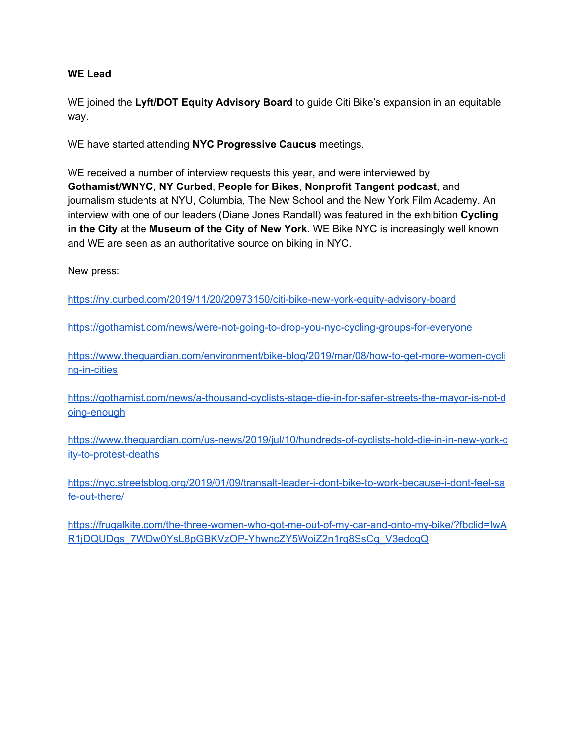### **WE Lead**

WE joined the **Lyft/DOT Equity Advisory Board** to guide Citi Bike's expansion in an equitable way.

WE have started attending **NYC Progressive Caucus** meetings.

WE received a number of interview requests this year, and were interviewed by **Gothamist/WNYC**, **NY Curbed**, **People for Bikes**, **Nonprofit Tangent podcast**, and journalism students at NYU, Columbia, The New School and the New York Film Academy. An interview with one of our leaders (Diane Jones Randall) was featured in the exhibition **Cycling in the City** at the **Museum of the City of New York**. WE Bike NYC is increasingly well known and WE are seen as an authoritative source on biking in NYC.

New press:

<https://ny.curbed.com/2019/11/20/20973150/citi-bike-new-york-equity-advisory-board>

<https://gothamist.com/news/were-not-going-to-drop-you-nyc-cycling-groups-for-everyone>

[https://www.theguardian.com/environment/bike-blog/2019/mar/08/how-to-get-more-women-cycli](https://www.theguardian.com/environment/bike-blog/2019/mar/08/how-to-get-more-women-cycling-in-cities) [ng-in-cities](https://www.theguardian.com/environment/bike-blog/2019/mar/08/how-to-get-more-women-cycling-in-cities)

[https://gothamist.com/news/a-thousand-cyclists-stage-die-in-for-safer-streets-the-mayor-is-not-d](https://gothamist.com/news/a-thousand-cyclists-stage-die-in-for-safer-streets-the-mayor-is-not-doing-enough) [oing-enough](https://gothamist.com/news/a-thousand-cyclists-stage-die-in-for-safer-streets-the-mayor-is-not-doing-enough)

[https://www.theguardian.com/us-news/2019/jul/10/hundreds-of-cyclists-hold-die-in-in-new-york-c](https://www.theguardian.com/us-news/2019/jul/10/hundreds-of-cyclists-hold-die-in-in-new-york-city-to-protest-deaths) [ity-to-protest-deaths](https://www.theguardian.com/us-news/2019/jul/10/hundreds-of-cyclists-hold-die-in-in-new-york-city-to-protest-deaths)

[https://nyc.streetsblog.org/2019/01/09/transalt-leader-i-dont-bike-to-work-because-i-dont-feel-sa](https://nyc.streetsblog.org/2019/01/09/transalt-leader-i-dont-bike-to-work-because-i-dont-feel-safe-out-there/) [fe-out-there/](https://nyc.streetsblog.org/2019/01/09/transalt-leader-i-dont-bike-to-work-because-i-dont-feel-safe-out-there/)

[https://frugalkite.com/the-three-women-who-got-me-out-of-my-car-and-onto-my-bike/?fbclid=IwA](https://frugalkite.com/the-three-women-who-got-me-out-of-my-car-and-onto-my-bike/?fbclid=IwAR1jDQUDgs_7WDw0YsL8pGBKVzOP-YhwncZY5WoiZ2n1rq8SsCg_V3edcqQ) [R1jDQUDgs\\_7WDw0YsL8pGBKVzOP-YhwncZY5WoiZ2n1rq8SsCg\\_V3edcqQ](https://frugalkite.com/the-three-women-who-got-me-out-of-my-car-and-onto-my-bike/?fbclid=IwAR1jDQUDgs_7WDw0YsL8pGBKVzOP-YhwncZY5WoiZ2n1rq8SsCg_V3edcqQ)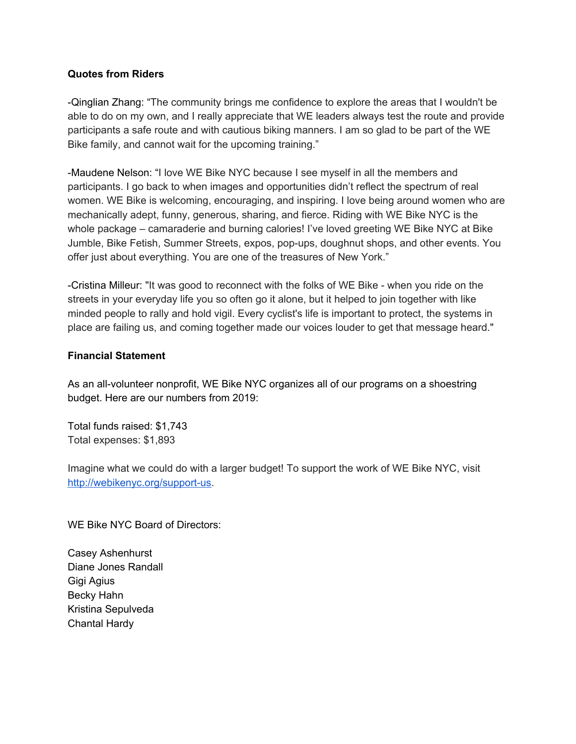## **Quotes from Riders**

-Qinglian Zhang: "The community brings me confidence to explore the areas that I wouldn't be able to do on my own, and I really appreciate that WE leaders always test the route and provide participants a safe route and with cautious biking manners. I am so glad to be part of the WE Bike family, and cannot wait for the upcoming training."

-Maudene Nelson: "I love WE Bike NYC because I see myself in all the members and participants. I go back to when images and opportunities didn't reflect the spectrum of real women. WE Bike is welcoming, encouraging, and inspiring. I love being around women who are mechanically adept, funny, generous, sharing, and fierce. Riding with WE Bike NYC is the whole package – camaraderie and burning calories! I've loved greeting WE Bike NYC at Bike Jumble, Bike Fetish, Summer Streets, expos, pop-ups, doughnut shops, and other events. You offer just about everything. You are one of the treasures of New York."

-Cristina Milleur: "It was good to reconnect with the folks of WE Bike - when you ride on the streets in your everyday life you so often go it alone, but it helped to join together with like minded people to rally and hold vigil. Every cyclist's life is important to protect, the systems in place are failing us, and coming together made our voices louder to get that message heard."

#### **Financial Statement**

As an all-volunteer nonprofit, WE Bike NYC organizes all of our programs on a shoestring budget. Here are our numbers from 2019:

Total funds raised: \$1,743 Total expenses: \$1,893

Imagine what we could do with a larger budget! To support the work of WE Bike NYC, visit [http://webikenyc.org/support-us.](http://webikenyc.org/support-us/)

WE Bike NYC Board of Directors:

Casey Ashenhurst Diane Jones Randall Gigi Agius Becky Hahn Kristina Sepulveda Chantal Hardy